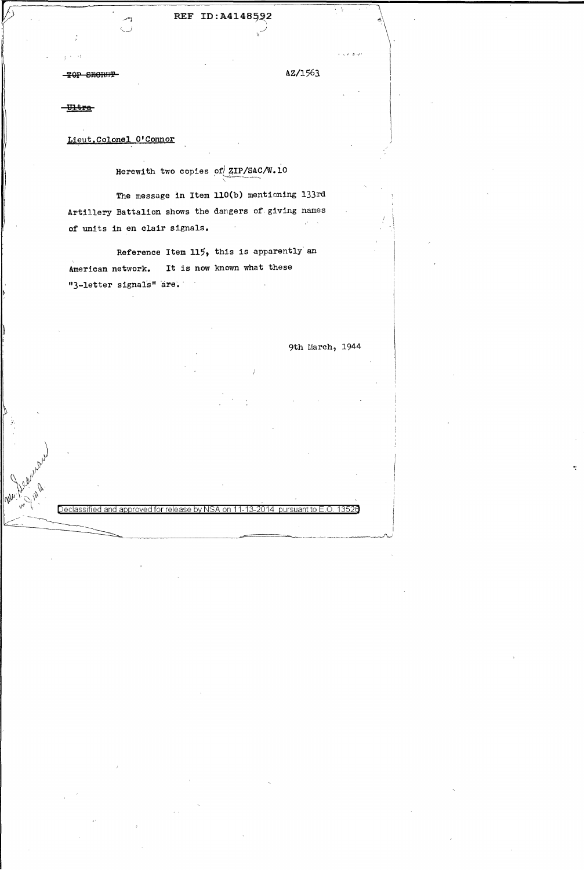... :.'1

 $\bigg\}$ 

*r;l J''v* 

 $^{\prime\prime}$   $^{\prime\prime}$  $\mathcal{D}_{\mathcal{F}}$  .  $\mathcal{V}$  .  $\mathcal{M}_{\mathcal{M}_1}{}^{}_{\mathcal{L}_2}{}^{\mathcal{O}^{\prime}}{}^{}_{\mathcal{M}_2}$  .

 $\iota \mathcal{P}$  ,  $\iota \mathcal{P}$ 

Lieut.Colonel O'Connor

Herewith two copies of ZIP/SAC/W.10

## REF ID:A4148592

. 1

**TOP SECRET** 

The message in Item 110(b) mentioning 133rd Artillery Battalion shows the dangers of giving names of units in en clair signals.

Reference Item 115, this is apparently an American network. It is now known what these "3-letter signals" are.

<u>Declassified and approved for release by NSA on 11-13-2014 pursuant to E.O.</u>

*':* 

.  $\sim$   $\sim$ 

9th March, 1944

 $\label{eq:2.1} \mathcal{L} = \frac{1}{2} \sum_{i=1}^n \frac{1}{2} \sum_{j=1}^n \frac{1}{2} \sum_{j=1}^n \frac{1}{2} \sum_{j=1}^n \frac{1}{2} \sum_{j=1}^n \frac{1}{2} \sum_{j=1}^n \frac{1}{2} \sum_{j=1}^n \frac{1}{2} \sum_{j=1}^n \frac{1}{2} \sum_{j=1}^n \frac{1}{2} \sum_{j=1}^n \frac{1}{2} \sum_{j=1}^n \frac{1}{2} \sum_{j=1}^n \frac{1}{2} \sum_{j=$ 

 $\label{eq:2.1} \frac{1}{\sqrt{2}}\sum_{i=1}^n\frac{1}{\sqrt{2}}\sum_{i=1}^n\frac{1}{\sqrt{2}}\sum_{i=1}^n\frac{1}{\sqrt{2}}\sum_{i=1}^n\frac{1}{\sqrt{2}}\sum_{i=1}^n\frac{1}{\sqrt{2}}\sum_{i=1}^n\frac{1}{\sqrt{2}}\sum_{i=1}^n\frac{1}{\sqrt{2}}\sum_{i=1}^n\frac{1}{\sqrt{2}}\sum_{i=1}^n\frac{1}{\sqrt{2}}\sum_{i=1}^n\frac{1}{\sqrt{2}}\sum_{i=1}^n\frac$ 

~-:\_---~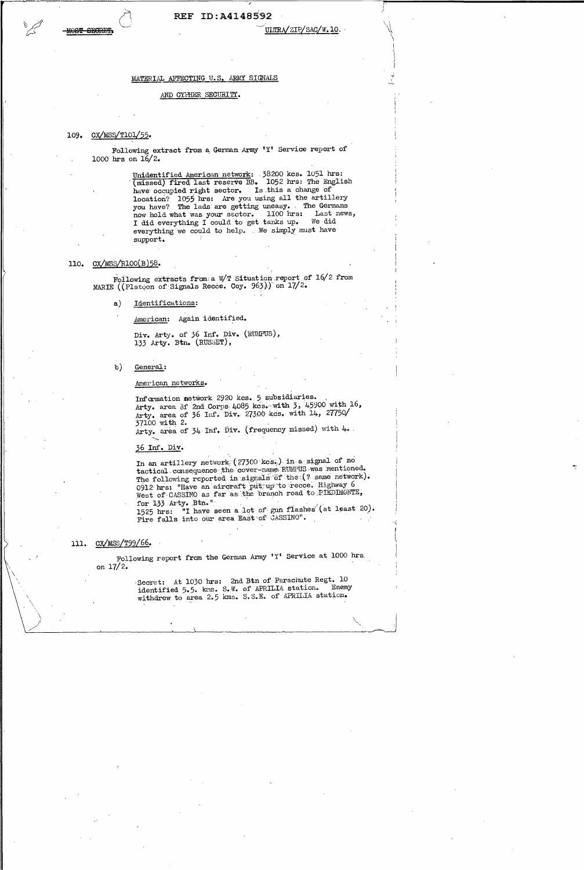### REF ID:A4148592

ULTRA/ZIP/SAC/W.10.

**F** 

1'

\  $\diagdown$ 

Following extract from a German Army 'Y' Service report of 1000 hrs on 16/2.

> Unidentified American network: .38200 kcs. 1051 hrs: (missed) fired last reserve BB. 1052 hrs: The English have occupied right sector. Is this a change of location? 1055 bra: Are you using all the artillery you have? The lads are getting uneasy. . The Germans now hold what was your sector. 1100 hrs: Last news, I did everything I could to get tanks up. We did everything we could to help. . We simply must have support.

### 110.  $CX/MSS/R100(B)58$ .

Following extracts from: a W/T Situation report of  $16/2$  from MARIE ((Platoon of Signals Recce. Coy. 963.) on  $17/2$ .

> Div. Arty. of 36 Inf. Div. (RUMPUS), 133 Arty. Btn. (RUSSET),

b) General:

a) Identifications:

American: Again identified.

Foliowing report from the German krmy 'Y' Service at 1000 hrs. on  $17/2.$ 

> Secret: At 1030 hrs: 2nd Btn of Parachute Regt. 10 identified 5.5. kms. S.W. of APRILIA station. Enemy withdrew to area 2.5 kms. S.S.E. of APRILIA station.

withdrew to area 2.9 Kms. 5.5.5. Of HRIDIA SOLUTION.

 $\mathcal{L}^{\text{max}}_{\text{max}}$  $\label{eq:2.1} \mathcal{L}_{\mathcal{A}}(x) = \mathcal{L}_{\mathcal{A}}(x) \mathcal{L}_{\mathcal{A}}(x) + \mathcal{L}_{\mathcal{A}}(x) \mathcal{L}_{\mathcal{A}}(x)$ 

 $\label{eq:2.1} \mathcal{L}(\mathcal{L}(\mathcal{L})) = \mathcal{L}(\mathcal{L}(\mathcal{L})) = \mathcal{L}(\mathcal{L}(\mathcal{L})) = \mathcal{L}(\mathcal{L}(\mathcal{L})) = \mathcal{L}(\mathcal{L}(\mathcal{L}))$ 

 $\label{eq:2.1} \frac{1}{\sqrt{2}}\left(\frac{1}{\sqrt{2}}\right)^{2} \left(\frac{1}{\sqrt{2}}\right)^{2} \left(\frac{1}{\sqrt{2}}\right)^{2} \left(\frac{1}{\sqrt{2}}\right)^{2} \left(\frac{1}{\sqrt{2}}\right)^{2} \left(\frac{1}{\sqrt{2}}\right)^{2} \left(\frac{1}{\sqrt{2}}\right)^{2} \left(\frac{1}{\sqrt{2}}\right)^{2} \left(\frac{1}{\sqrt{2}}\right)^{2} \left(\frac{1}{\sqrt{2}}\right)^{2} \left(\frac{1}{\sqrt{2}}\right)^{2} \left(\$  $\label{eq:2.1} \frac{1}{\sqrt{2\pi}}\sum_{i=1}^n\frac{1}{\sqrt{2\pi}}\sum_{i=1}^n\frac{1}{\sqrt{2\pi}}\sum_{i=1}^n\frac{1}{\sqrt{2\pi}}\sum_{i=1}^n\frac{1}{\sqrt{2\pi}}\sum_{i=1}^n\frac{1}{\sqrt{2\pi}}\sum_{i=1}^n\frac{1}{\sqrt{2\pi}}\sum_{i=1}^n\frac{1}{\sqrt{2\pi}}\sum_{i=1}^n\frac{1}{\sqrt{2\pi}}\sum_{i=1}^n\frac{1}{\sqrt{2\pi}}\sum_{i=1}^n\$ 

### .American networks.

Information network 2920 kcs. 5 subsidiaries.<br>Arty. area of 2nd Corps 4085 kcs., with  $3$ , 45900 with 16, Arty. area of 36 Inf. Div. 27300 kcs. with 14, 27750/ 37100 with 2. Arty. area of  $34$  Inf. Div. (frequency missed) with  $4$ .

 $\overline{\mathcal{A}}$ '

> $\mathcal{A}$ '

### MATERIAL AFFECTING U.S. ARMY SIGNALS

### AND CYPHER SECURITY.

### 109. CX/MSS/T101/55.

**ST SECRES** 

*2\_6* Inf. Div.

In an artillery network  $(27300~\text{kcs.})$  in a signal of no tactical consequence the cover-name RUMPUS was mentioned. The following reported in signals of the (? same network). 0912 hrs: "Have an aircraft put up to recce. Highway 6 West of CASSING as far as the branch road to PIEDIMONTE, for 133 Arty. Btn."

1525 hrs: "I have seen a lot of gun flashes" (at least 20). Fire falls into our area East of GASSINO".

### 111. CX/MSS/T99/66.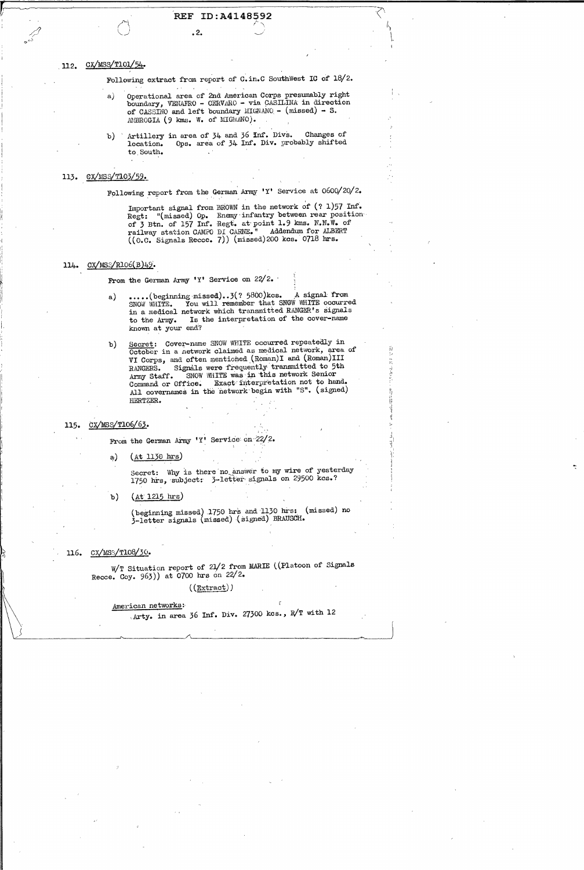Ii lf.

1'  $\ddot{i}$  " 1· I

:. ,. " ' '

,. I!

 $\mathbf{l}$ 

Following report from the German Army 'Y' Service at  $0600/20/2$ .

# r:-~---~----.P-1 .. --'----RE-F-ID-: A\_4\_1\_4\_8\_5\_'-9-2---------·\\ // (  $\left\langle \right\rangle$  **(**  $\left\langle \right\rangle$   $\left\langle \right\rangle$   $\left\langle \right\rangle$   $\left\langle \right\rangle$

o-'--' \.

#### CX/MSS/T101/54. 112.

 $\beta$  **.2.**  $\cup$ 

Following extract from report of C. in.C SouthWest IC of 18/2.

- a) Operational area of 2nd American Corps presumably right boundary, VENAFRO - CERVARO - via CASILINA in direction of CASSINO and left boundary MIGNANO -  $(missed) - S$ . AMBROGIA (9 kms. W. of MIGNANO).
- b) ' Artillery in area of  $34$  and  $36$  Inf. Divs. Changes of location. Ops. area of 34 Inf. Div. probably shifted to.South.

### 113. CX/MSS/T103/59.

Important signal from BROWN in the network of  $(? 1)57$  Inf. Regt: "(missed) Op. Enemy infantry between rear position: of 3 Btn. of 157 Inf. Regt. at point 1.9 kms. N.N.W. of railway station CAMPO DI CARNE." Addendum for ALBERT ((0.0. Signals Reece. 7)) (missed)200 kcs. 0718 hrs.

# 114. CX/MSS/R106(B)49.

From the German Army 'Y' Service on  $22/2$ .

a) •••••• (beginning missed) •• 3(? 5800) kcs. A signal from SNOW WHITE. You will remember that SNOW WHITE occurred in a medical network which transmitted RANGER's signals to the Army. Is the interpretation of the cover-name known at your end?

b) Secret: Cover-name SNOW WHITE occurred repeatedly in October in a network claimed as medical network, area of VI Corps, and often mentioned (Roman)I and (Roman)III RANGERS. Signals were frequently transmitted to 5th Army Staff. SNOW WHITE was in this network Senior Command or Office. Exact interpretation not to hand. All covernames in the network begin with "S". (signed) flERTZER.

### 115. CX/MSS/T106/63.

From the German Army 'Y' Service on  $22/2$ .

 $(a)$   $(4t 1130 \text{ hrs})$ 

Secret: Why is there no answer to my wire of yesterday 1750 hrs, subject: 3-letter signals on 29500 kcs.?

b)  $(At 1215 hrs)$ 

(beginning missed) 1750 hrs and 1130 hrs: (missed) no 3-letter signals (missed) (signed) BRAUSCH.

### 116. CX/MSS/T108/30.

 $\mathcal{L}^{\text{max}}_{\text{max}}$  and  $\mathcal{L}^{\text{max}}_{\text{max}}$ 

 $W/T$  Situation report of 21/2 from MARIE ((Platoon of Signals Reece. Coy. 963)) at 0700 hrs on 22/2.

# $((Extract))$

 $\label{eq:2.1} \frac{1}{\sqrt{2}}\int_{\mathbb{R}^3}\frac{1}{\sqrt{2}}\left(\frac{1}{\sqrt{2}}\right)^2\left(\frac{1}{\sqrt{2}}\right)^2\left(\frac{1}{\sqrt{2}}\right)^2\left(\frac{1}{\sqrt{2}}\right)^2\left(\frac{1}{\sqrt{2}}\right)^2\left(\frac{1}{\sqrt{2}}\right)^2.$ 

|  | American networks:                                 |
|--|----------------------------------------------------|
|  | Arty. in area 36 Inf. Div. 27300 kcs., R/T with 12 |
|  |                                                    |
|  |                                                    |

 $\label{eq:2.1} \frac{1}{\sqrt{2}}\int_{\mathbb{R}^3}\frac{1}{\sqrt{2}}\left(\frac{1}{\sqrt{2}}\right)^2\frac{1}{\sqrt{2}}\left(\frac{1}{\sqrt{2}}\right)^2\frac{1}{\sqrt{2}}\left(\frac{1}{\sqrt{2}}\right)^2\frac{1}{\sqrt{2}}\left(\frac{1}{\sqrt{2}}\right)^2\frac{1}{\sqrt{2}}\left(\frac{1}{\sqrt{2}}\right)^2\frac{1}{\sqrt{2}}\left(\frac{1}{\sqrt{2}}\right)^2\frac{1}{\sqrt{2}}\left(\frac{1}{\sqrt{2}}\right)^2\frac{1}{\sqrt{$ 

 $\label{eq:2.1} \frac{1}{2} \sum_{i=1}^n \frac{1}{2} \sum_{j=1}^n \frac{1}{2} \sum_{j=1}^n \frac{1}{2} \sum_{j=1}^n \frac{1}{2} \sum_{j=1}^n \frac{1}{2} \sum_{j=1}^n \frac{1}{2} \sum_{j=1}^n \frac{1}{2} \sum_{j=1}^n \frac{1}{2} \sum_{j=1}^n \frac{1}{2} \sum_{j=1}^n \frac{1}{2} \sum_{j=1}^n \frac{1}{2} \sum_{j=1}^n \frac{1}{2} \sum_{j=1}^n \frac{$ 

 $\label{eq:2.1} \frac{1}{2} \int_{\mathbb{R}^3} \left| \frac{d\mu}{d\mu} \right|^2 \, d\mu = \frac{1}{2} \int_{\mathbb{R}^3} \left| \frac{d\mu}{d\mu} \right|^2 \, d\mu = \frac{1}{2} \int_{\mathbb{R}^3} \left| \frac{d\mu}{d\mu} \right|^2 \, d\mu = \frac{1}{2} \int_{\mathbb{R}^3} \left| \frac{d\mu}{d\mu} \right|^2 \, d\mu = \frac{1}{2} \int_{\mathbb{R}^3} \left| \frac{d\mu}{d\mu} \right|^2 \,$ 

 $\label{eq:2.1} \mathcal{L}(\mathcal{L}(\mathcal{L})) = \mathcal{L}(\mathcal{L}(\mathcal{L})) = \mathcal{L}(\mathcal{L}(\mathcal{L})) = \mathcal{L}(\mathcal{L}(\mathcal{L}))$ 

 $\label{eq:2.1} \frac{1}{\sqrt{2}}\int_{\mathbb{R}^3}\frac{1}{\sqrt{2}}\left(\frac{1}{\sqrt{2}}\right)^2\frac{1}{\sqrt{2}}\left(\frac{1}{\sqrt{2}}\right)^2\frac{1}{\sqrt{2}}\left(\frac{1}{\sqrt{2}}\right)^2\frac{1}{\sqrt{2}}\left(\frac{1}{\sqrt{2}}\right)^2\frac{1}{\sqrt{2}}\left(\frac{1}{\sqrt{2}}\right)^2\frac{1}{\sqrt{2}}\frac{1}{\sqrt{2}}\frac{1}{\sqrt{2}}\frac{1}{\sqrt{2}}\frac{1}{\sqrt{2}}\frac{1}{\sqrt{2}}$ 

I  $\vdash$  '

 $\label{eq:1} \sum_{i=1}^n \frac{1}{n_i} \sum_{i=1}^n \frac{1}{n_i} \sum_{i=1}^n \frac{1}{n_i} \sum_{i=1}^n \frac{1}{n_i} \sum_{i=1}^n \frac{1}{n_i} \sum_{i=1}^n \frac{1}{n_i} \sum_{i=1}^n \frac{1}{n_i} \sum_{i=1}^n \frac{1}{n_i} \sum_{i=1}^n \frac{1}{n_i} \sum_{i=1}^n \frac{1}{n_i} \sum_{i=1}^n \frac{1}{n_i} \sum_{i=1}^n \frac{1}{n_i} \sum_{i=1}^n$ 

 $\label{eq:1.1} \frac{1}{\|X\|} \leq \frac{1}{\|X\|} \sum_{i=1}^n \frac{1}{\|X\|} \sum_{i=1}^n \frac{1}{\|X\|} \sum_{i=1}^n \frac{1}{\|X\|} \sum_{i=1}^n \frac{1}{\|X\|} \sum_{i=1}^n \frac{1}{\|X\|} \sum_{i=1}^n \frac{1}{\|X\|} \sum_{i=1}^n \frac{1}{\|X\|} \sum_{i=1}^n \frac{1}{\|X\|} \sum_{i=1}^n \frac{1}{\|X\|} \sum_{i=1$ 

 $\label{eq:2.1} \frac{1}{\sqrt{2}}\int_{0}^{\infty}\frac{1}{\sqrt{2\pi}}\left(\frac{1}{\sqrt{2\pi}}\right)^{2}d\mu\int_{0}^{\infty}\frac{1}{\sqrt{2\pi}}\left(\frac{1}{\sqrt{2\pi}}\right)^{2}d\mu\int_{0}^{\infty}\frac{1}{\sqrt{2\pi}}\frac{1}{\sqrt{2\pi}}\frac{1}{\sqrt{2\pi}}\frac{1}{\sqrt{2\pi}}\frac{1}{\sqrt{2\pi}}\frac{1}{\sqrt{2\pi}}\frac{1}{\sqrt{2\pi}}\frac{1}{\sqrt{2\pi}}\frac{1}{\sqrt{$